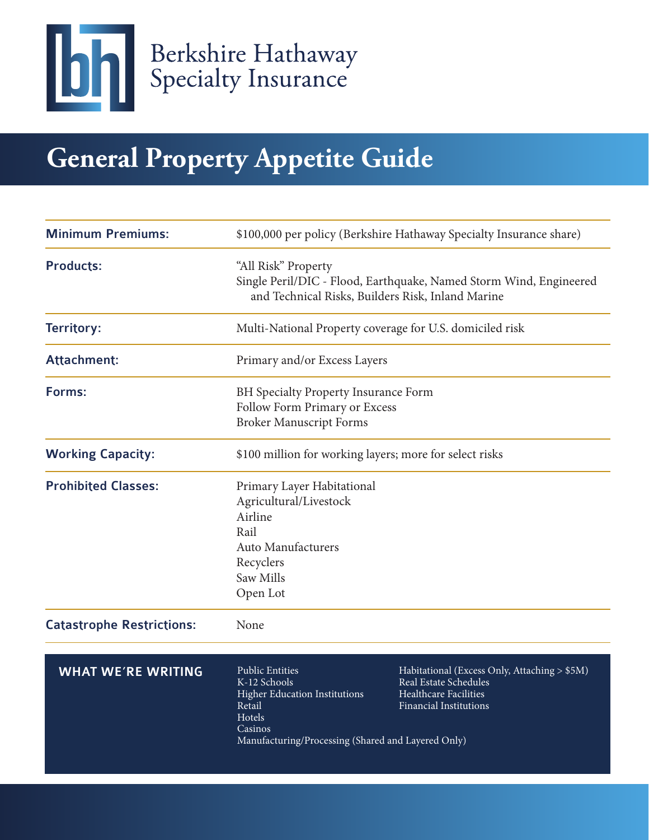

# **General Property Appetite Guide**

| <b>Minimum Premiums:</b>         | \$100,000 per policy (Berkshire Hathaway Specialty Insurance share)                                                                                                 |                                                                                                                          |
|----------------------------------|---------------------------------------------------------------------------------------------------------------------------------------------------------------------|--------------------------------------------------------------------------------------------------------------------------|
| <b>Products:</b>                 | "All Risk" Property<br>Single Peril/DIC - Flood, Earthquake, Named Storm Wind, Engineered<br>and Technical Risks, Builders Risk, Inland Marine                      |                                                                                                                          |
| Territory:                       | Multi-National Property coverage for U.S. domiciled risk                                                                                                            |                                                                                                                          |
| <b>Attachment:</b>               | Primary and/or Excess Layers                                                                                                                                        |                                                                                                                          |
| Forms:                           | BH Specialty Property Insurance Form<br>Follow Form Primary or Excess<br><b>Broker Manuscript Forms</b>                                                             |                                                                                                                          |
| <b>Working Capacity:</b>         | \$100 million for working layers; more for select risks                                                                                                             |                                                                                                                          |
| <b>Prohibited Classes:</b>       | Primary Layer Habitational<br>Agricultural/Livestock<br>Airline<br>Rail<br><b>Auto Manufacturers</b><br>Recyclers<br>Saw Mills<br>Open Lot                          |                                                                                                                          |
| <b>Catastrophe Restrictions:</b> | None                                                                                                                                                                |                                                                                                                          |
| <b>WHAT WE'RE WRITING</b>        | <b>Public Entities</b><br>K-12 Schools<br><b>Higher Education Institutions</b><br>Retail<br>Hotels<br>Casinos<br>Manufacturing/Processing (Shared and Layered Only) | Habitational (Excess Only, Attaching > \$5M)<br>Real Estate Schedules<br>Healthcare Facilities<br>Financial Institutions |